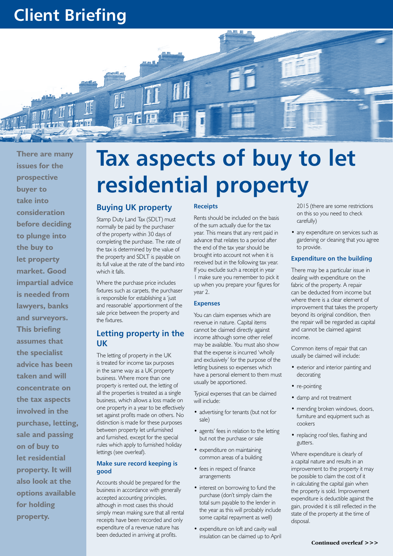# **Client Briefing**



**There are many issues for the prospective buyer to take into consideration before deciding to plunge into the buy to let property market. Good impartial advice is needed from lawyers, banks and surveyors. This briefing assumes that the specialist advice has been taken and will concentrate on the tax aspects involved in the purchase, letting, sale and passing on of buy to let residential property. It will also look at the options available for holding property.**

# **Tax aspects of buy to let residential property**

### **Buying UK property**

Stamp Duty Land Tax (SDLT) must normally be paid by the purchaser of the property within 30 days of completing the purchase. The rate of the tax is determined by the value of the property and SDLT is payable on its full value at the rate of the band into which it falls.

Where the purchase price includes fixtures such as carpets, the purchaser is responsible for establishing a 'just and reasonable' apportionment of the sale price between the property and the fixtures.

# **Letting property in the UK**

The letting of property in the UK is treated for income tax purposes in the same way as a UK property business. Where more than one property is rented out, the letting of all the properties is treated as a single business, which allows a loss made on one property in a year to be effectively set against profits made on others. No distinction is made for these purposes between property let unfurnished and furnished, except for the special rules which apply to furnished holiday lettings (see overleaf).

#### **Make sure record keeping is good**

Accounts should be prepared for the business in accordance with generally accepted accounting principles, although in most cases this should simply mean making sure that all rental receipts have been recorded and only expenditure of a revenue nature has been deducted in arriving at profits.

#### **Receipts**

Rents should be included on the basis of the sum actually due for the tax year. This means that any rent paid in advance that relates to a period after the end of the tax year should be brought into account not when it is received but in the following tax year. If you exclude such a receipt in year 1 make sure you remember to pick it up when you prepare your figures for year 2.

#### **Expenses**

You can claim expenses which are revenue in nature. Capital items cannot be claimed directly against income although some other relief may be available. You must also show that the expense is incurred 'wholly and exclusively' for the purpose of the letting business so expenses which have a personal element to them must usually be apportioned.

Typical expenses that can be claimed will include:

- advertising for tenants (but not for sale)
- agents' fees in relation to the letting but not the purchase or sale
- expenditure on maintaining common areas of a building
- fees in respect of finance arrangements
- interest on borrowing to fund the purchase (don't simply claim the total sum payable to the lender in the year as this will probably include some capital repayment as well)
- expenditure on loft and cavity wall insulation can be claimed up to April
- 2015 (there are some restrictions on this so you need to check carefully)
- any expenditure on services such as gardening or cleaning that you agree to provide.

#### **Expenditure on the building**

There may be a particular issue in dealing with expenditure on the fabric of the property. A repair can be deducted from income but where there is a clear element of improvement that takes the property beyond its original condition, then the repair will be regarded as capital and cannot be claimed against income.

Common items of repair that can usually be claimed will include:

- exterior and interior painting and decorating
- re-pointing
- damp and rot treatment
- mending broken windows, doors, furniture and equipment such as cookers
- replacing roof tiles, flashing and gutters.

Where expenditure is clearly of a capital nature and results in an improvement to the property it may be possible to claim the cost of it in calculating the capital gain when the property is sold. Improvement expenditure is deductible against the gain, provided it is still reflected in the state of the property at the time of disposal.